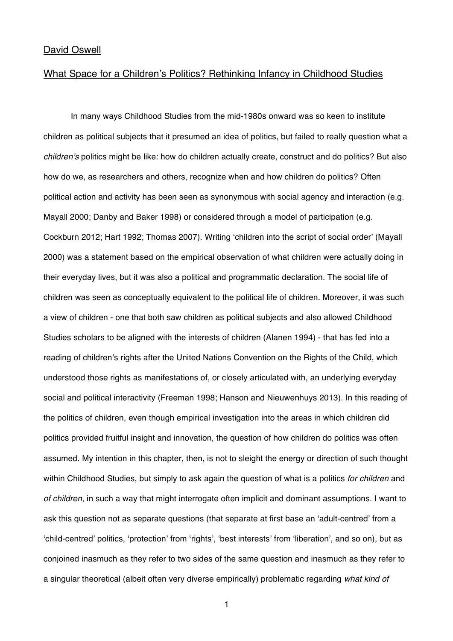## David Oswell

# What Space for a Children's Politics? Rethinking Infancy in Childhood Studies

In many ways Childhood Studies from the mid-1980s onward was so keen to institute children as political subjects that it presumed an idea of politics, but failed to really question what a *children's* politics might be like: how do children actually create, construct and do politics? But also how do we, as researchers and others, recognize when and how children do politics? Often political action and activity has been seen as synonymous with social agency and interaction (e.g. Mayall 2000; Danby and Baker 1998) or considered through a model of participation (e.g. Cockburn 2012; Hart 1992; Thomas 2007). Writing 'children into the script of social order' (Mayall 2000) was a statement based on the empirical observation of what children were actually doing in their everyday lives, but it was also a political and programmatic declaration. The social life of children was seen as conceptually equivalent to the political life of children. Moreover, it was such a view of children - one that both saw children as political subjects and also allowed Childhood Studies scholars to be aligned with the interests of children (Alanen 1994) - that has fed into a reading of children's rights after the United Nations Convention on the Rights of the Child, which understood those rights as manifestations of, or closely articulated with, an underlying everyday social and political interactivity (Freeman 1998; Hanson and Nieuwenhuys 2013). In this reading of the politics of children, even though empirical investigation into the areas in which children did politics provided fruitful insight and innovation, the question of how children do politics was often assumed. My intention in this chapter, then, is not to sleight the energy or direction of such thought within Childhood Studies, but simply to ask again the question of what is a politics *for children* and *of children*, in such a way that might interrogate often implicit and dominant assumptions. I want to ask this question not as separate questions (that separate at first base an 'adult-centred' from a 'child-centred' politics, 'protection' from 'rights', 'best interests' from 'liberation', and so on), but as conjoined inasmuch as they refer to two sides of the same question and inasmuch as they refer to a singular theoretical (albeit often very diverse empirically) problematic regarding *what kind of*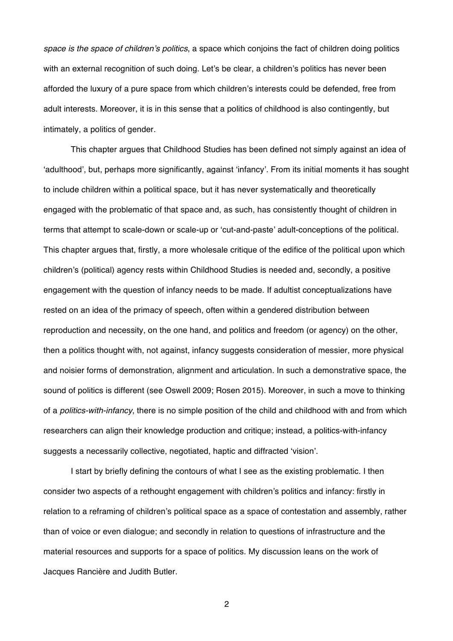*space is the space of children's politics*, a space which conjoins the fact of children doing politics with an external recognition of such doing. Let's be clear, a children's politics has never been afforded the luxury of a pure space from which children's interests could be defended, free from adult interests. Moreover, it is in this sense that a politics of childhood is also contingently, but intimately, a politics of gender.

This chapter argues that Childhood Studies has been defined not simply against an idea of 'adulthood', but, perhaps more significantly, against 'infancy'. From its initial moments it has sought to include children within a political space, but it has never systematically and theoretically engaged with the problematic of that space and, as such, has consistently thought of children in terms that attempt to scale-down or scale-up or 'cut-and-paste' adult-conceptions of the political. This chapter argues that, firstly, a more wholesale critique of the edifice of the political upon which children's (political) agency rests within Childhood Studies is needed and, secondly, a positive engagement with the question of infancy needs to be made. If adultist conceptualizations have rested on an idea of the primacy of speech, often within a gendered distribution between reproduction and necessity, on the one hand, and politics and freedom (or agency) on the other, then a politics thought with, not against, infancy suggests consideration of messier, more physical and noisier forms of demonstration, alignment and articulation. In such a demonstrative space, the sound of politics is different (see Oswell 2009; Rosen 2015). Moreover, in such a move to thinking of a *politics-with-infancy*, there is no simple position of the child and childhood with and from which researchers can align their knowledge production and critique; instead, a politics-with-infancy suggests a necessarily collective, negotiated, haptic and diffracted 'vision'.

I start by briefly defining the contours of what I see as the existing problematic. I then consider two aspects of a rethought engagement with children's politics and infancy: firstly in relation to a reframing of children's political space as a space of contestation and assembly, rather than of voice or even dialogue; and secondly in relation to questions of infrastructure and the material resources and supports for a space of politics. My discussion leans on the work of Jacques Rancière and Judith Butler.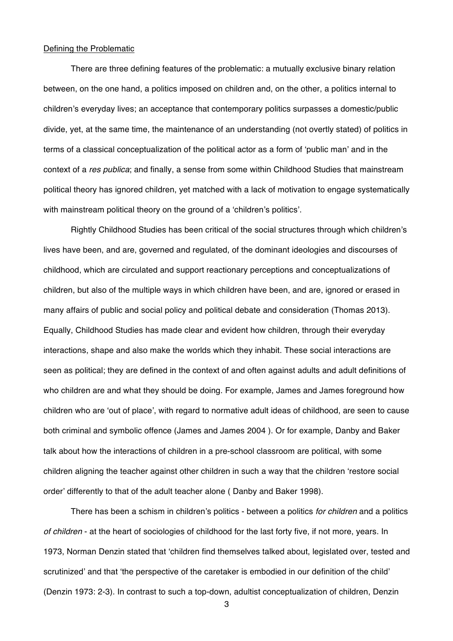#### Defining the Problematic

There are three defining features of the problematic: a mutually exclusive binary relation between, on the one hand, a politics imposed on children and, on the other, a politics internal to children's everyday lives; an acceptance that contemporary politics surpasses a domestic/public divide, yet, at the same time, the maintenance of an understanding (not overtly stated) of politics in terms of a classical conceptualization of the political actor as a form of 'public man' and in the context of a *res publica*; and finally, a sense from some within Childhood Studies that mainstream political theory has ignored children, yet matched with a lack of motivation to engage systematically with mainstream political theory on the ground of a 'children's politics'.

Rightly Childhood Studies has been critical of the social structures through which children's lives have been, and are, governed and regulated, of the dominant ideologies and discourses of childhood, which are circulated and support reactionary perceptions and conceptualizations of children, but also of the multiple ways in which children have been, and are, ignored or erased in many affairs of public and social policy and political debate and consideration (Thomas 2013). Equally, Childhood Studies has made clear and evident how children, through their everyday interactions, shape and also make the worlds which they inhabit. These social interactions are seen as political; they are defined in the context of and often against adults and adult definitions of who children are and what they should be doing. For example, James and James foreground how children who are 'out of place', with regard to normative adult ideas of childhood, are seen to cause both criminal and symbolic offence (James and James 2004 ). Or for example, Danby and Baker talk about how the interactions of children in a pre-school classroom are political, with some children aligning the teacher against other children in such a way that the children 'restore social order' differently to that of the adult teacher alone ( Danby and Baker 1998).

There has been a schism in children's politics - between a politics *for children* and a politics *of children* - at the heart of sociologies of childhood for the last forty five, if not more, years. In 1973, Norman Denzin stated that 'children find themselves talked about, legislated over, tested and scrutinized' and that 'the perspective of the caretaker is embodied in our definition of the child' (Denzin 1973: 2-3). In contrast to such a top-down, adultist conceptualization of children, Denzin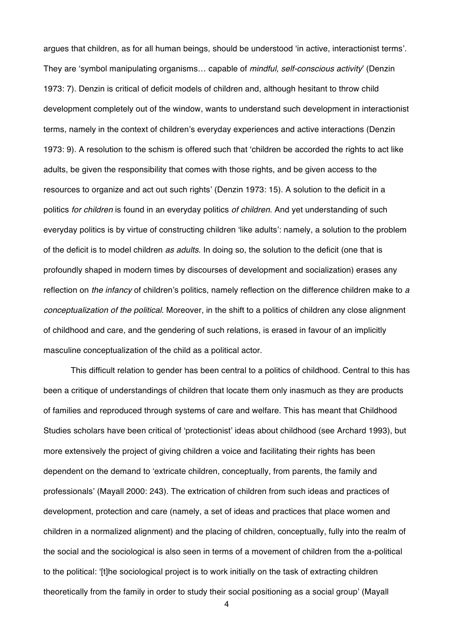argues that children, as for all human beings, should be understood 'in active, interactionist terms'. They are 'symbol manipulating organisms… capable of *mindful, self-conscious activity*' (Denzin 1973: 7). Denzin is critical of deficit models of children and, although hesitant to throw child development completely out of the window, wants to understand such development in interactionist terms, namely in the context of children's everyday experiences and active interactions (Denzin 1973: 9). A resolution to the schism is offered such that 'children be accorded the rights to act like adults, be given the responsibility that comes with those rights, and be given access to the resources to organize and act out such rights' (Denzin 1973: 15). A solution to the deficit in a politics *for children* is found in an everyday politics *of children*. And yet understanding of such everyday politics is by virtue of constructing children 'like adults': namely, a solution to the problem of the deficit is to model children *as adults*. In doing so, the solution to the deficit (one that is profoundly shaped in modern times by discourses of development and socialization) erases any reflection on *the infancy* of children's politics, namely reflection on the difference children make to *a conceptualization of the political*. Moreover, in the shift to a politics of children any close alignment of childhood and care, and the gendering of such relations, is erased in favour of an implicitly masculine conceptualization of the child as a political actor.

This difficult relation to gender has been central to a politics of childhood. Central to this has been a critique of understandings of children that locate them only inasmuch as they are products of families and reproduced through systems of care and welfare. This has meant that Childhood Studies scholars have been critical of 'protectionist' ideas about childhood (see Archard 1993), but more extensively the project of giving children a voice and facilitating their rights has been dependent on the demand to 'extricate children, conceptually, from parents, the family and professionals' (Mayall 2000: 243). The extrication of children from such ideas and practices of development, protection and care (namely, a set of ideas and practices that place women and children in a normalized alignment) and the placing of children, conceptually, fully into the realm of the social and the sociological is also seen in terms of a movement of children from the a-political to the political: '[t]he sociological project is to work initially on the task of extracting children theoretically from the family in order to study their social positioning as a social group' (Mayall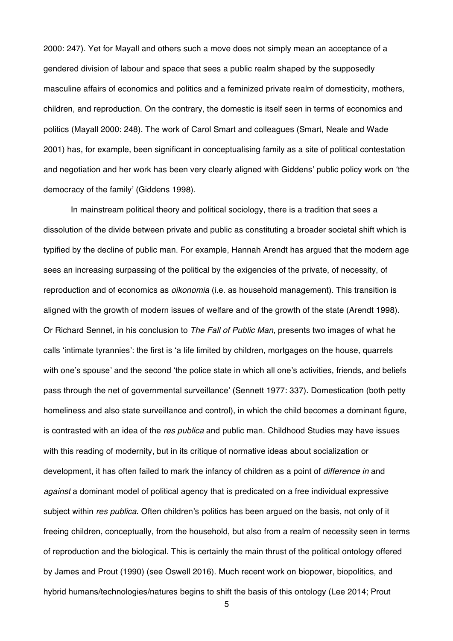2000: 247). Yet for Mayall and others such a move does not simply mean an acceptance of a gendered division of labour and space that sees a public realm shaped by the supposedly masculine affairs of economics and politics and a feminized private realm of domesticity, mothers, children, and reproduction. On the contrary, the domestic is itself seen in terms of economics and politics (Mayall 2000: 248). The work of Carol Smart and colleagues (Smart, Neale and Wade 2001) has, for example, been significant in conceptualising family as a site of political contestation and negotiation and her work has been very clearly aligned with Giddens' public policy work on 'the democracy of the family' (Giddens 1998).

In mainstream political theory and political sociology, there is a tradition that sees a dissolution of the divide between private and public as constituting a broader societal shift which is typified by the decline of public man. For example, Hannah Arendt has argued that the modern age sees an increasing surpassing of the political by the exigencies of the private, of necessity, of reproduction and of economics as *oikonomia* (i.e. as household management). This transition is aligned with the growth of modern issues of welfare and of the growth of the state (Arendt 1998). Or Richard Sennet, in his conclusion to *The Fall of Public Man*, presents two images of what he calls 'intimate tyrannies': the first is 'a life limited by children, mortgages on the house, quarrels with one's spouse' and the second 'the police state in which all one's activities, friends, and beliefs pass through the net of governmental surveillance' (Sennett 1977: 337). Domestication (both petty homeliness and also state surveillance and control), in which the child becomes a dominant figure, is contrasted with an idea of the *res publica* and public man. Childhood Studies may have issues with this reading of modernity, but in its critique of normative ideas about socialization or development, it has often failed to mark the infancy of children as a point of *difference in* and *against* a dominant model of political agency that is predicated on a free individual expressive subject within *res publica*. Often children's politics has been argued on the basis, not only of it freeing children, conceptually, from the household, but also from a realm of necessity seen in terms of reproduction and the biological. This is certainly the main thrust of the political ontology offered by James and Prout (1990) (see Oswell 2016). Much recent work on biopower, biopolitics, and hybrid humans/technologies/natures begins to shift the basis of this ontology (Lee 2014; Prout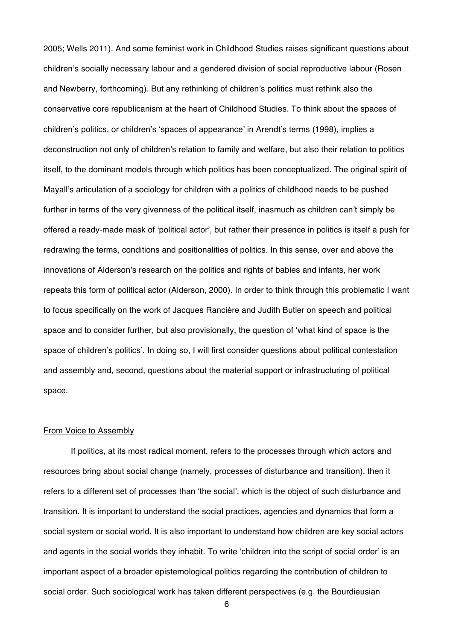2005; Wells 2011). And some feminist work in Childhood Studies raises significant questions about children's socially necessary labour and a gendered division of social reproductive labour (Rosen and Newberry, forthcoming). But any rethinking of children's politics must rethink also the conservative core republicanism at the heart of Childhood Studies. To think about the spaces of children's politics, or children's 'spaces of appearance' in Arendt's terms (1998), implies a deconstruction not only of children's relation to family and welfare, but also their relation to politics itself, to the dominant models through which politics has been conceptualized. The original spirit of Mayall's articulation of a sociology for children with a politics of childhood needs to be pushed further in terms of the very givenness of the political itself, inasmuch as children can't simply be offered a ready-made mask of 'political actor', but rather their presence in politics is itself a push for redrawing the terms, conditions and positionalities of politics. In this sense, over and above the innovations of Alderson's research on the politics and rights of babies and infants, her work repeats this form of political actor (Alderson, 2000). In order to think through this problematic I want to focus specifically on the work of Jacques Rancière and Judith Butler on speech and political space and to consider further, but also provisionally, the question of 'what kind of space is the space of children's politics'. In doing so, I will first consider questions about political contestation and assembly and, second, questions about the material support or infrastructuring of political space.

### From Voice to Assembly

If politics, at its most radical moment, refers to the processes through which actors and resources bring about social change (namely, processes of disturbance and transition), then it refers to a different set of processes than 'the social', which is the object of such disturbance and transition. It is important to understand the social practices, agencies and dynamics that form a social system or social world. It is also important to understand how children are key social actors and agents in the social worlds they inhabit. To write 'children into the script of social order' is an important aspect of a broader epistemological politics regarding the contribution of children to social order. Such sociological work has taken different perspectives (e.g. the Bourdieusian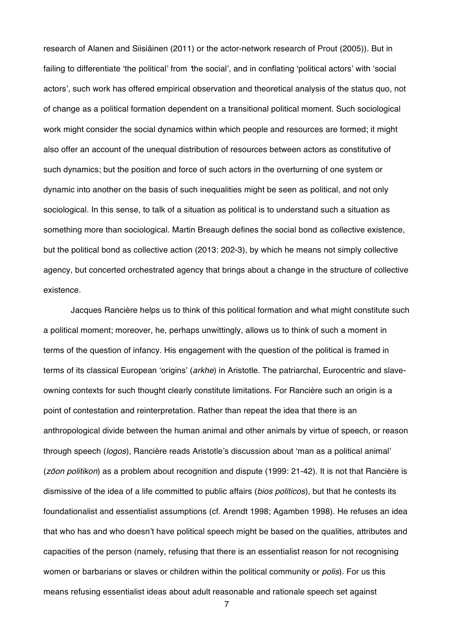research of Alanen and Siisiäinen (2011) or the actor-network research of Prout (2005)). But in failing to differentiate 'the political' from the social', and in conflating 'political actors' with 'social actors', such work has offered empirical observation and theoretical analysis of the status quo, not of change as a political formation dependent on a transitional political moment. Such sociological work might consider the social dynamics within which people and resources are formed; it might also offer an account of the unequal distribution of resources between actors as constitutive of such dynamics; but the position and force of such actors in the overturning of one system or dynamic into another on the basis of such inequalities might be seen as political, and not only sociological. In this sense, to talk of a situation as political is to understand such a situation as something more than sociological. Martin Breaugh defines the social bond as collective existence, but the political bond as collective action (2013: 202-3), by which he means not simply collective agency, but concerted orchestrated agency that brings about a change in the structure of collective existence.

Jacques Rancière helps us to think of this political formation and what might constitute such a political moment; moreover, he, perhaps unwittingly, allows us to think of such a moment in terms of the question of infancy. His engagement with the question of the political is framed in terms of its classical European 'origins' (*arkhe*) in Aristotle. The patriarchal, Eurocentric and slaveowning contexts for such thought clearly constitute limitations. For Rancière such an origin is a point of contestation and reinterpretation. Rather than repeat the idea that there is an anthropological divide between the human animal and other animals by virtue of speech, or reason through speech (*logos*), Rancière reads Aristotle's discussion about 'man as a political animal' (*z*ō*on politikon*) as a problem about recognition and dispute (1999: 21-42). It is not that Rancière is dismissive of the idea of a life committed to public affairs (*bios politicos*), but that he contests its foundationalist and essentialist assumptions (cf. Arendt 1998; Agamben 1998). He refuses an idea that who has and who doesn't have political speech might be based on the qualities, attributes and capacities of the person (namely, refusing that there is an essentialist reason for not recognising women or barbarians or slaves or children within the political community or *polis*). For us this means refusing essentialist ideas about adult reasonable and rationale speech set against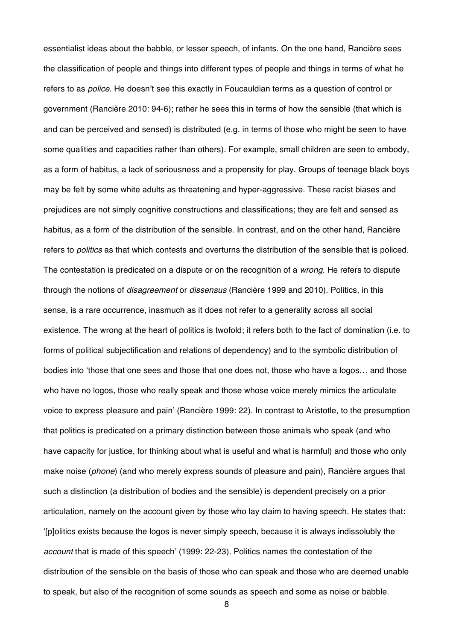essentialist ideas about the babble, or lesser speech, of infants. On the one hand, Rancière sees the classification of people and things into different types of people and things in terms of what he refers to as *police*. He doesn't see this exactly in Foucauldian terms as a question of control or government (Rancière 2010: 94-6); rather he sees this in terms of how the sensible (that which is and can be perceived and sensed) is distributed (e.g. in terms of those who might be seen to have some qualities and capacities rather than others). For example, small children are seen to embody, as a form of habitus, a lack of seriousness and a propensity for play. Groups of teenage black boys may be felt by some white adults as threatening and hyper-aggressive. These racist biases and prejudices are not simply cognitive constructions and classifications; they are felt and sensed as habitus, as a form of the distribution of the sensible. In contrast, and on the other hand, Rancière refers to *politics* as that which contests and overturns the distribution of the sensible that is policed. The contestation is predicated on a dispute or on the recognition of a *wrong*. He refers to dispute through the notions of *disagreement* or *dissensus* (Rancière 1999 and 2010). Politics, in this sense, is a rare occurrence, inasmuch as it does not refer to a generality across all social existence. The wrong at the heart of politics is twofold; it refers both to the fact of domination (i.e. to forms of political subjectification and relations of dependency) and to the symbolic distribution of bodies into 'those that one sees and those that one does not, those who have a logos… and those who have no logos, those who really speak and those whose voice merely mimics the articulate voice to express pleasure and pain' (Rancière 1999: 22). In contrast to Aristotle, to the presumption that politics is predicated on a primary distinction between those animals who speak (and who have capacity for justice, for thinking about what is useful and what is harmful) and those who only make noise (*phone*) (and who merely express sounds of pleasure and pain), Rancière argues that such a distinction (a distribution of bodies and the sensible) is dependent precisely on a prior articulation, namely on the account given by those who lay claim to having speech. He states that: '[p]olitics exists because the logos is never simply speech, because it is always indissolubly the *account* that is made of this speech' (1999: 22-23). Politics names the contestation of the distribution of the sensible on the basis of those who can speak and those who are deemed unable to speak, but also of the recognition of some sounds as speech and some as noise or babble.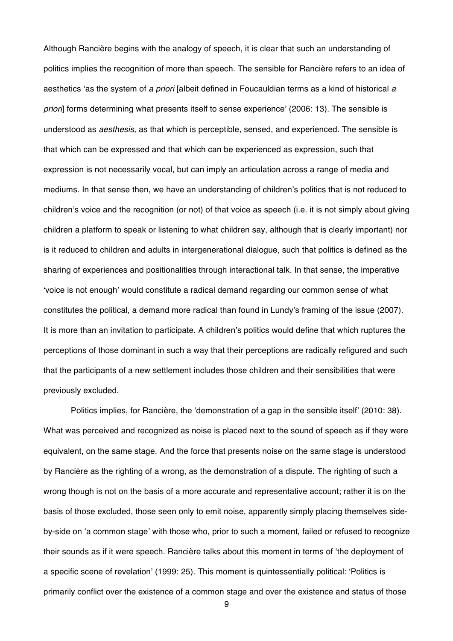Although Rancière begins with the analogy of speech, it is clear that such an understanding of politics implies the recognition of more than speech. The sensible for Rancière refers to an idea of aesthetics 'as the system of *a priori* [albeit defined in Foucauldian terms as a kind of historical *a priori*] forms determining what presents itself to sense experience' (2006: 13). The sensible is understood as *aesthesis*, as that which is perceptible, sensed, and experienced. The sensible is that which can be expressed and that which can be experienced as expression, such that expression is not necessarily vocal, but can imply an articulation across a range of media and mediums. In that sense then, we have an understanding of children's politics that is not reduced to children's voice and the recognition (or not) of that voice as speech (i.e. it is not simply about giving children a platform to speak or listening to what children say, although that is clearly important) nor is it reduced to children and adults in intergenerational dialogue, such that politics is defined as the sharing of experiences and positionalities through interactional talk. In that sense, the imperative 'voice is not enough' would constitute a radical demand regarding our common sense of what constitutes the political, a demand more radical than found in Lundy's framing of the issue (2007). It is more than an invitation to participate. A children's politics would define that which ruptures the perceptions of those dominant in such a way that their perceptions are radically refigured and such that the participants of a new settlement includes those children and their sensibilities that were previously excluded.

Politics implies, for Rancière, the 'demonstration of a gap in the sensible itself' (2010: 38). What was perceived and recognized as noise is placed next to the sound of speech as if they were equivalent, on the same stage. And the force that presents noise on the same stage is understood by Rancière as the righting of a wrong, as the demonstration of a dispute. The righting of such a wrong though is not on the basis of a more accurate and representative account; rather it is on the basis of those excluded, those seen only to emit noise, apparently simply placing themselves sideby-side on 'a common stage' with those who, prior to such a moment, failed or refused to recognize their sounds as if it were speech. Rancière talks about this moment in terms of 'the deployment of a specific scene of revelation' (1999: 25). This moment is quintessentially political: 'Politics is primarily conflict over the existence of a common stage and over the existence and status of those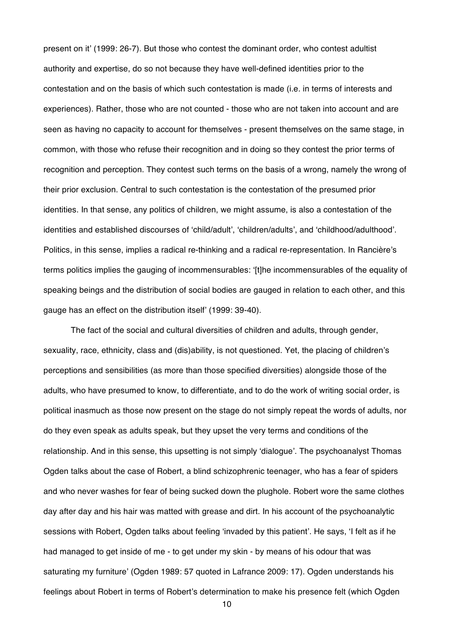present on it' (1999: 26-7). But those who contest the dominant order, who contest adultist authority and expertise, do so not because they have well-defined identities prior to the contestation and on the basis of which such contestation is made (i.e. in terms of interests and experiences). Rather, those who are not counted - those who are not taken into account and are seen as having no capacity to account for themselves - present themselves on the same stage, in common, with those who refuse their recognition and in doing so they contest the prior terms of recognition and perception. They contest such terms on the basis of a wrong, namely the wrong of their prior exclusion. Central to such contestation is the contestation of the presumed prior identities. In that sense, any politics of children, we might assume, is also a contestation of the identities and established discourses of 'child/adult', 'children/adults', and 'childhood/adulthood'. Politics, in this sense, implies a radical re-thinking and a radical re-representation. In Rancière's terms politics implies the gauging of incommensurables: '[t]he incommensurables of the equality of speaking beings and the distribution of social bodies are gauged in relation to each other, and this gauge has an effect on the distribution itself' (1999: 39-40).

The fact of the social and cultural diversities of children and adults, through gender, sexuality, race, ethnicity, class and (dis)ability, is not questioned. Yet, the placing of children's perceptions and sensibilities (as more than those specified diversities) alongside those of the adults, who have presumed to know, to differentiate, and to do the work of writing social order, is political inasmuch as those now present on the stage do not simply repeat the words of adults, nor do they even speak as adults speak, but they upset the very terms and conditions of the relationship. And in this sense, this upsetting is not simply 'dialogue'. The psychoanalyst Thomas Ogden talks about the case of Robert, a blind schizophrenic teenager, who has a fear of spiders and who never washes for fear of being sucked down the plughole. Robert wore the same clothes day after day and his hair was matted with grease and dirt. In his account of the psychoanalytic sessions with Robert, Ogden talks about feeling 'invaded by this patient'. He says, 'I felt as if he had managed to get inside of me - to get under my skin - by means of his odour that was saturating my furniture' (Ogden 1989: 57 quoted in Lafrance 2009: 17). Ogden understands his feelings about Robert in terms of Robert's determination to make his presence felt (which Ogden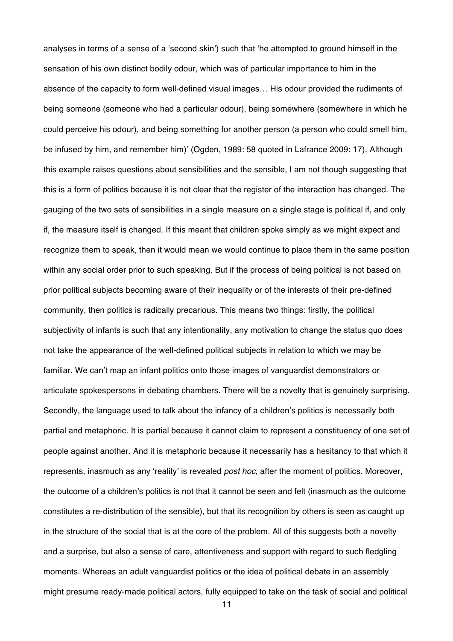analyses in terms of a sense of a 'second skin') such that 'he attempted to ground himself in the sensation of his own distinct bodily odour, which was of particular importance to him in the absence of the capacity to form well-defined visual images… His odour provided the rudiments of being someone (someone who had a particular odour), being somewhere (somewhere in which he could perceive his odour), and being something for another person (a person who could smell him, be infused by him, and remember him)' (Ogden, 1989: 58 quoted in Lafrance 2009: 17). Although this example raises questions about sensibilities and the sensible, I am not though suggesting that this is a form of politics because it is not clear that the register of the interaction has changed. The gauging of the two sets of sensibilities in a single measure on a single stage is political if, and only if, the measure itself is changed. If this meant that children spoke simply as we might expect and recognize them to speak, then it would mean we would continue to place them in the same position within any social order prior to such speaking. But if the process of being political is not based on prior political subjects becoming aware of their inequality or of the interests of their pre-defined community, then politics is radically precarious. This means two things: firstly, the political subjectivity of infants is such that any intentionality, any motivation to change the status quo does not take the appearance of the well-defined political subjects in relation to which we may be familiar. We can't map an infant politics onto those images of vanguardist demonstrators or articulate spokespersons in debating chambers. There will be a novelty that is genuinely surprising. Secondly, the language used to talk about the infancy of a children's politics is necessarily both partial and metaphoric. It is partial because it cannot claim to represent a constituency of one set of people against another. And it is metaphoric because it necessarily has a hesitancy to that which it represents, inasmuch as any 'reality' is revealed *post hoc*, after the moment of politics. Moreover, the outcome of a children's politics is not that it cannot be seen and felt (inasmuch as the outcome constitutes a re-distribution of the sensible), but that its recognition by others is seen as caught up in the structure of the social that is at the core of the problem. All of this suggests both a novelty and a surprise, but also a sense of care, attentiveness and support with regard to such fledgling moments. Whereas an adult vanguardist politics or the idea of political debate in an assembly might presume ready-made political actors, fully equipped to take on the task of social and political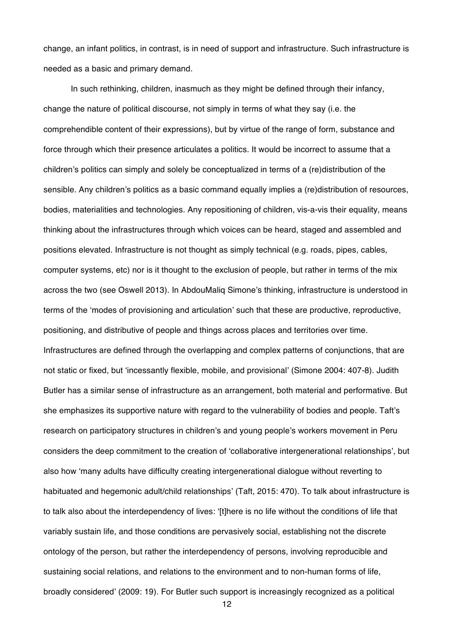change, an infant politics, in contrast, is in need of support and infrastructure. Such infrastructure is needed as a basic and primary demand.

In such rethinking, children, inasmuch as they might be defined through their infancy, change the nature of political discourse, not simply in terms of what they say (i.e. the comprehendible content of their expressions), but by virtue of the range of form, substance and force through which their presence articulates a politics. It would be incorrect to assume that a children's politics can simply and solely be conceptualized in terms of a (re)distribution of the sensible. Any children's politics as a basic command equally implies a (re)distribution of resources, bodies, materialities and technologies. Any repositioning of children, vis-a-vis their equality, means thinking about the infrastructures through which voices can be heard, staged and assembled and positions elevated. Infrastructure is not thought as simply technical (e.g. roads, pipes, cables, computer systems, etc) nor is it thought to the exclusion of people, but rather in terms of the mix across the two (see Oswell 2013). In AbdouMaliq Simone's thinking, infrastructure is understood in terms of the 'modes of provisioning and articulation' such that these are productive, reproductive, positioning, and distributive of people and things across places and territories over time. Infrastructures are defined through the overlapping and complex patterns of conjunctions, that are not static or fixed, but 'incessantly flexible, mobile, and provisional' (Simone 2004: 407-8). Judith Butler has a similar sense of infrastructure as an arrangement, both material and performative. But she emphasizes its supportive nature with regard to the vulnerability of bodies and people. Taft's research on participatory structures in children's and young people's workers movement in Peru considers the deep commitment to the creation of 'collaborative intergenerational relationships', but also how 'many adults have difficulty creating intergenerational dialogue without reverting to habituated and hegemonic adult/child relationships' (Taft, 2015: 470). To talk about infrastructure is to talk also about the interdependency of lives: '[t]here is no life without the conditions of life that variably sustain life, and those conditions are pervasively social, establishing not the discrete ontology of the person, but rather the interdependency of persons, involving reproducible and sustaining social relations, and relations to the environment and to non-human forms of life, broadly considered' (2009: 19). For Butler such support is increasingly recognized as a political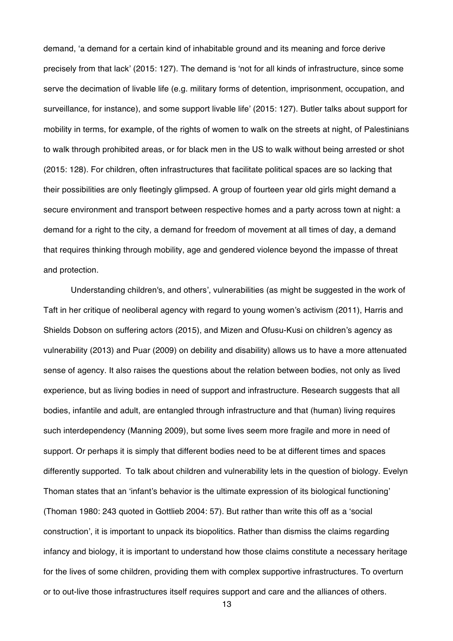demand, 'a demand for a certain kind of inhabitable ground and its meaning and force derive precisely from that lack' (2015: 127). The demand is 'not for all kinds of infrastructure, since some serve the decimation of livable life (e.g. military forms of detention, imprisonment, occupation, and surveillance, for instance), and some support livable life' (2015: 127). Butler talks about support for mobility in terms, for example, of the rights of women to walk on the streets at night, of Palestinians to walk through prohibited areas, or for black men in the US to walk without being arrested or shot (2015: 128). For children, often infrastructures that facilitate political spaces are so lacking that their possibilities are only fleetingly glimpsed. A group of fourteen year old girls might demand a secure environment and transport between respective homes and a party across town at night: a demand for a right to the city, a demand for freedom of movement at all times of day, a demand that requires thinking through mobility, age and gendered violence beyond the impasse of threat and protection.

Understanding children's, and others', vulnerabilities (as might be suggested in the work of Taft in her critique of neoliberal agency with regard to young women's activism (2011), Harris and Shields Dobson on suffering actors (2015), and Mizen and Ofusu-Kusi on children's agency as vulnerability (2013) and Puar (2009) on debility and disability) allows us to have a more attenuated sense of agency. It also raises the questions about the relation between bodies, not only as lived experience, but as living bodies in need of support and infrastructure. Research suggests that all bodies, infantile and adult, are entangled through infrastructure and that (human) living requires such interdependency (Manning 2009), but some lives seem more fragile and more in need of support. Or perhaps it is simply that different bodies need to be at different times and spaces differently supported. To talk about children and vulnerability lets in the question of biology. Evelyn Thoman states that an 'infant's behavior is the ultimate expression of its biological functioning' (Thoman 1980: 243 quoted in Gottlieb 2004: 57). But rather than write this off as a 'social construction', it is important to unpack its biopolitics. Rather than dismiss the claims regarding infancy and biology, it is important to understand how those claims constitute a necessary heritage for the lives of some children, providing them with complex supportive infrastructures. To overturn or to out-live those infrastructures itself requires support and care and the alliances of others.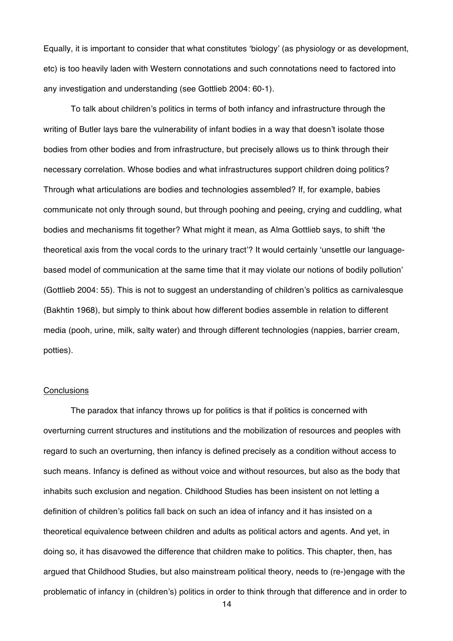Equally, it is important to consider that what constitutes 'biology' (as physiology or as development, etc) is too heavily laden with Western connotations and such connotations need to factored into any investigation and understanding (see Gottlieb 2004: 60-1).

To talk about children's politics in terms of both infancy and infrastructure through the writing of Butler lays bare the vulnerability of infant bodies in a way that doesn't isolate those bodies from other bodies and from infrastructure, but precisely allows us to think through their necessary correlation. Whose bodies and what infrastructures support children doing politics? Through what articulations are bodies and technologies assembled? If, for example, babies communicate not only through sound, but through poohing and peeing, crying and cuddling, what bodies and mechanisms fit together? What might it mean, as Alma Gottlieb says, to shift 'the theoretical axis from the vocal cords to the urinary tract'? It would certainly 'unsettle our languagebased model of communication at the same time that it may violate our notions of bodily pollution' (Gottlieb 2004: 55). This is not to suggest an understanding of children's politics as carnivalesque (Bakhtin 1968), but simply to think about how different bodies assemble in relation to different media (pooh, urine, milk, salty water) and through different technologies (nappies, barrier cream, potties).

#### **Conclusions**

The paradox that infancy throws up for politics is that if politics is concerned with overturning current structures and institutions and the mobilization of resources and peoples with regard to such an overturning, then infancy is defined precisely as a condition without access to such means. Infancy is defined as without voice and without resources, but also as the body that inhabits such exclusion and negation. Childhood Studies has been insistent on not letting a definition of children's politics fall back on such an idea of infancy and it has insisted on a theoretical equivalence between children and adults as political actors and agents. And yet, in doing so, it has disavowed the difference that children make to politics. This chapter, then, has argued that Childhood Studies, but also mainstream political theory, needs to (re-)engage with the problematic of infancy in (children's) politics in order to think through that difference and in order to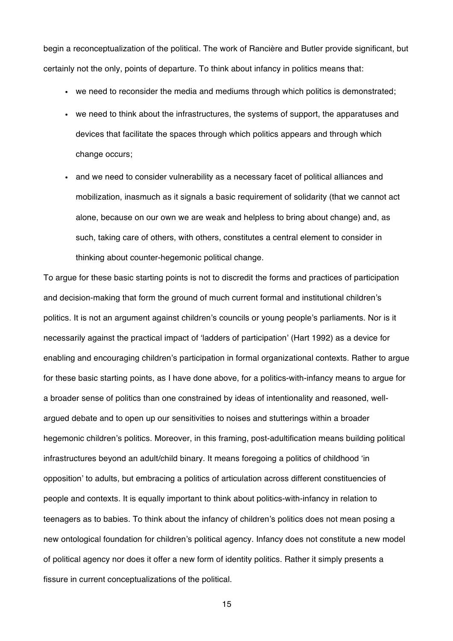begin a reconceptualization of the political. The work of Rancière and Butler provide significant, but certainly not the only, points of departure. To think about infancy in politics means that:

- we need to reconsider the media and mediums through which politics is demonstrated;
- we need to think about the infrastructures, the systems of support, the apparatuses and devices that facilitate the spaces through which politics appears and through which change occurs;
- and we need to consider vulnerability as a necessary facet of political alliances and mobilization, inasmuch as it signals a basic requirement of solidarity (that we cannot act alone, because on our own we are weak and helpless to bring about change) and, as such, taking care of others, with others, constitutes a central element to consider in thinking about counter-hegemonic political change.

To argue for these basic starting points is not to discredit the forms and practices of participation and decision-making that form the ground of much current formal and institutional children's politics. It is not an argument against children's councils or young people's parliaments. Nor is it necessarily against the practical impact of 'ladders of participation' (Hart 1992) as a device for enabling and encouraging children's participation in formal organizational contexts. Rather to argue for these basic starting points, as I have done above, for a politics-with-infancy means to argue for a broader sense of politics than one constrained by ideas of intentionality and reasoned, wellargued debate and to open up our sensitivities to noises and stutterings within a broader hegemonic children's politics. Moreover, in this framing, post-adultification means building political infrastructures beyond an adult/child binary. It means foregoing a politics of childhood 'in opposition' to adults, but embracing a politics of articulation across different constituencies of people and contexts. It is equally important to think about politics-with-infancy in relation to teenagers as to babies. To think about the infancy of children's politics does not mean posing a new ontological foundation for children's political agency. Infancy does not constitute a new model of political agency nor does it offer a new form of identity politics. Rather it simply presents a fissure in current conceptualizations of the political.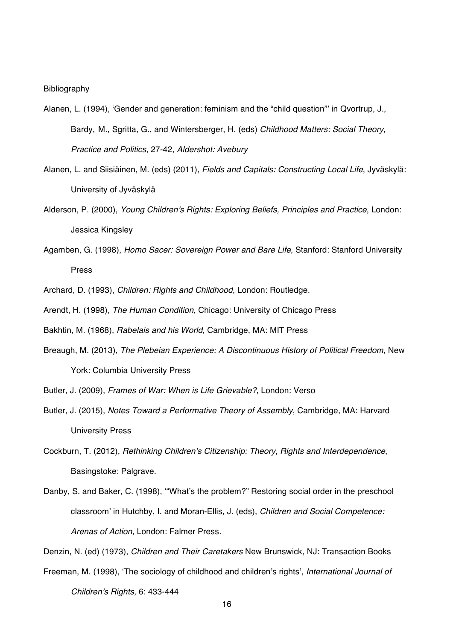## Bibliography

- Alanen, L. (1994), 'Gender and generation: feminism and the "child question"' in Qvortrup, J., Bardy, M., Sgritta, G., and Wintersberger, H. (eds) *Childhood Matters: Social Theory, Practice and Politics*, 27-42, *Aldershot: Avebury*
- Alanen, L. and Siisiäinen, M. (eds) (2011), *Fields and Capitals: Constructing Local Life*, Jyväskylä: University of Jyväskylä
- Alderson, P. (2000), *Young Children's Rights: Exploring Beliefs, Principles and Practice*, London: Jessica Kingsley
- Agamben, G. (1998), *Homo Sacer: Sovereign Power and Bare Life*, Stanford: Stanford University Press
- Archard, D. (1993), *Children: Rights and Childhood*, London: Routledge.
- Arendt, H. (1998), *The Human Condition*, Chicago: University of Chicago Press
- Bakhtin, M. (1968), *Rabelais and his World*, Cambridge, MA: MIT Press
- Breaugh, M. (2013), *The Plebeian Experience: A Discontinuous History of Political Freedom*, New York: Columbia University Press
- Butler, J. (2009), *Frames of War: When is Life Grievable?*, London: Verso
- Butler, J. (2015), *Notes Toward a Performative Theory of Assembly*, Cambridge, MA: Harvard University Press
- Cockburn, T. (2012), *Rethinking Children's Citizenship: Theory, Rights and Interdependence*, Basingstoke: Palgrave.
- Danby, S. and Baker, C. (1998), '"What's the problem?" Restoring social order in the preschool classroom' in Hutchby, I. and Moran-Ellis, J. (eds), *Children and Social Competence: Arenas of Action*, London: Falmer Press.

Denzin, N. (ed) (1973), *Children and Their Caretakers* New Brunswick, NJ: Transaction Books

Freeman, M. (1998), 'The sociology of childhood and children's rights', *International Journal of Children's Rights*, 6: 433-444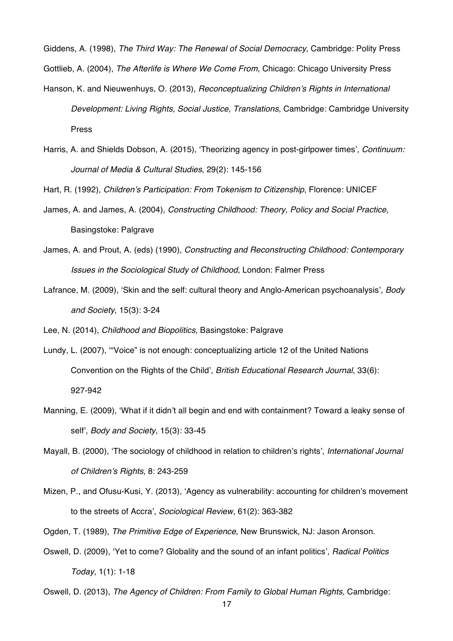Giddens, A. (1998), *The Third Way: The Renewal of Social Democracy*, Cambridge: Polity Press

- Gottlieb, A. (2004), *The Afterlife is Where We Come From*, Chicago: Chicago University Press
- Hanson, K. and Nieuwenhuys, O. (2013), *Reconceptualizing Children's Rights in International Development: Living Rights, Social Justice, Translations*, Cambridge: Cambridge University Press
- Harris, A. and Shields Dobson, A. (2015), 'Theorizing agency in post-girlpower times', *Continuum: Journal of Media & Cultural Studies*, 29(2): 145-156

Hart, R. (1992), *Children's Participation: From Tokenism to Citizenship*, Florence: UNICEF

- James, A. and James, A. (2004), *Constructing Childhood: Theory, Policy and Social Practice*, Basingstoke: Palgrave
- James, A. and Prout, A. (eds) (1990), *Constructing and Reconstructing Childhood: Contemporary Issues in the Sociological Study of Childhood*, London: Falmer Press
- Lafrance, M. (2009), 'Skin and the self: cultural theory and Anglo-American psychoanalysis', *Body and Society*, 15(3): 3-24

Lee, N. (2014), *Childhood and Biopolitics*, Basingstoke: Palgrave

- Lundy, L. (2007), '"Voice" is not enough: conceptualizing article 12 of the United Nations Convention on the Rights of the Child', *British Educational Research Journal*, 33(6): 927-942
- Manning, E. (2009), 'What if it didn't all begin and end with containment? Toward a leaky sense of self', *Body and Society*, 15(3): 33-45
- Mayall, B. (2000), 'The sociology of childhood in relation to children's rights', *International Journal of Children's Rights*, 8: 243-259
- Mizen, P., and Ofusu-Kusi, Y. (2013), 'Agency as vulnerability: accounting for children's movement to the streets of Accra', *Sociological Review*, 61(2): 363-382
- Ogden, T. (1989), *The Primitive Edge of Experience*, New Brunswick, NJ: Jason Aronson.
- Oswell, D. (2009), 'Yet to come? Globality and the sound of an infant politics', *Radical Politics Today*, 1(1): 1-18
- Oswell, D. (2013), *The Agency of Children: From Family to Global Human Rights*, Cambridge: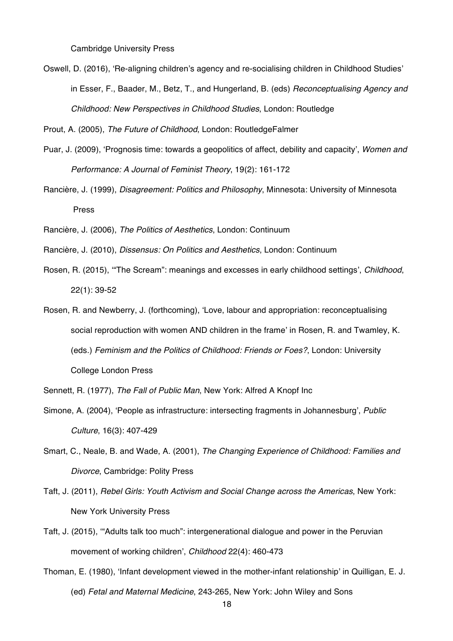Cambridge University Press

Oswell, D. (2016), 'Re-aligning children's agency and re-socialising children in Childhood Studies' in Esser, F., Baader, M., Betz, T., and Hungerland, B. (eds) *Reconceptualising Agency and Childhood: New Perspectives in Childhood Studies*, London: Routledge

Prout, A. (2005), *The Future of Childhood*, London: RoutledgeFalmer

- Puar, J. (2009), 'Prognosis time: towards a geopolitics of affect, debility and capacity', *Women and Performance: A Journal of Feminist Theory*, 19(2): 161-172
- Rancière, J. (1999), *Disagreement: Politics and Philosophy*, Minnesota: University of Minnesota Press
- Rancière, J. (2006), *The Politics of Aesthetics*, London: Continuum
- Rancière, J. (2010), *Dissensus: On Politics and Aesthetics*, London: Continuum
- Rosen, R. (2015), '"The Scream": meanings and excesses in early childhood settings', *Childhood*, 22(1): 39-52
- Rosen, R. and Newberry, J. (forthcoming), 'Love, labour and appropriation: reconceptualising social reproduction with women AND children in the frame' in Rosen, R. and Twamley, K. (eds.) *Feminism and the Politics of Childhood: Friends or Foes?*, London: University College London Press
- Sennett, R. (1977), *The Fall of Public Man*, New York: Alfred A Knopf Inc
- Simone, A. (2004), 'People as infrastructure: intersecting fragments in Johannesburg', *Public Culture*, 16(3): 407-429
- Smart, C., Neale, B. and Wade, A. (2001), *The Changing Experience of Childhood: Families and Divorce*, Cambridge: Polity Press
- Taft, J. (2011), *Rebel Girls: Youth Activism and Social Change across the Americas*, New York: New York University Press
- Taft, J. (2015), '"Adults talk too much": intergenerational dialogue and power in the Peruvian movement of working children', *Childhood* 22(4): 460-473
- Thoman, E. (1980), 'Infant development viewed in the mother-infant relationship' in Quilligan, E. J. (ed) *Fetal and Maternal Medicine*, 243-265, New York: John Wiley and Sons